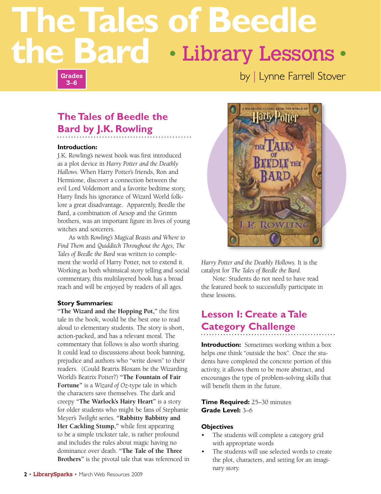# **The Tales of Beedle the Bard** • Library Lessons •

**Grades 3–6**

by | Lynne Farrell Stover

## **The Tales of Beedle the Bard by J.K. Rowling**

#### **Introduction:**

J.K. Rowling's newest book was first introduced as a plot device in *Harry Potter and the Deathly Hallows.* When Harry Potter's friends, Ron and Hermione, discover a connection between the evil Lord Voldemort and a favorite bedtime story, Harry finds his ignorance of Wizard World folklore a great disadvantage. Apparently, Beedle the Bard, a combination of Aesop and the Grimm brothers, was an important figure in lives of young witches and sorcerers.

As with R*owling's Magical Beasts and Where to Find Them* and *Quidditch Throughout the Ages, The Tales of Beedle the Bard* was written to complement the world of Harry Potter, not to extend it. Working as both whimsical story telling and social commentary, this multilayered book has a broad reach and will be enjoyed by readers of all ages.

#### **Story Summaries:**

**"The Wizard and the Hopping Pot,"** the first tale in the book, would be the best one to read aloud to elementary students. The story is short, action-packed, and has a relevant moral. The commentary that follows is also worth sharing. It could lead to discussions about book banning, prejudice and authors who "write down" to their readers. (Could Beatrix Bloxam be the Wizarding World's Beatrix Potter?) **"The Fountain of Fair Fortune"** is a *Wizard of Oz*-type tale in which the characters save themselves. The dark and creepy **"The Warlock's Hairy Heart"** is a story for older students who might be fans of Stephanie Meyer's *Twilight* series. **"Rabbitty Babbitty and Her Cackling Stump,"** while first appearing to be a simple trickster tale, is rather profound and includes the rules about magic having no dominance over death. **"The Tale of the Three Brothers"** is the pivotal tale that was referenced in



*Harry Potter and the Deathly Hollows.* It is the catalyst for *The Tales of Beedle the Bard.* 

Note: Students do not need to have read the featured book to successfully participate in these lessons.

## **Lesson I: Create a Tale Category Challenge**

**Introduction:** Sometimes working within a box helps one think "outside the box". Once the students have completed the concrete portion of this activity, it allows them to be more abstract, and encourages the type of problem-solving skills that will benefit them in the future.

#### **Time Required:** 25–30 minutes **Grade Level:** 3–6

#### **Objectives**

- The students will complete a category grid with appropriate words
- The students will use selected words to create the plot, characters, and setting for an imaginary story.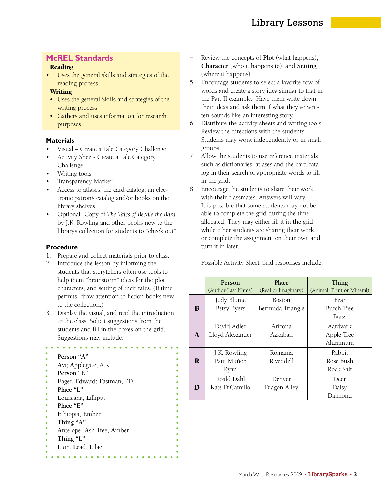### **McREL Standards**

#### Reading

• Uses the general skills and strategies of the reading process

#### **Writing**

- Uses the general Skills and strategies of the writing process
- Gathers and uses information for research purposes

#### **Materials**

- Visual Create a Tale Category Challenge
- Activity Sheet- Create a Tale Category Challenge
- Writing tools
- Transparency Marker
- Access to atlases, the card catalog, an electronic patron's catalog and/or books on the library shelves
- Optional- Copy of *The Tales of Beedle the Bard* by J.K. Rowling and other books new to the library's collection for students to "check out"

#### **Procedure**

- 1. Prepare and collect materials prior to class.
- 2. Introduce the lesson by informing the students that storytellers often use tools to help them "brainstorm" ideas for the plot, characters, and setting of their tales. (If time permits, draw attention to fiction books new to the collection.)
- 3. Display the visual, and read the introduction to the class. Solicit suggestions from the students and fill in the boxes on the grid. Suggestions may include:

### **Person "A"**

- **A**vi; **A**pplegate, A.K.
- **Person "E"**
- **E**ager, **E**dward; **E**astman, P.D.
- **Place "L"**
- **L**ouisiana, **L**illiput
- **Place "E"**
- **E**thiopia, **E**mber
- **Thing "A"**
- **A**ntelope, **A**sh Tree, **A**mber
- **Thing "L"**
- **L**ion, **L**ead, **L**ilac
- **the Bardards**<br> **the Bardards**<br> **the concepts of Plot** (what happens),<br> **Reading**<br> **the Bard Character** (who it happens to), and Setting **Character** (who it happens to), and **Setting** (where it happens).
	- 5. Encourage students to select a favorite row of words and create a story idea similar to that in the Part II example. Have them write down their ideas and ask them if what they've written sounds like an interesting story.
	- 6. Distribute the activity sheets and writing tools. Review the directions with the students. Students may work independently or in small groups.
	- 7. Allow the students to use reference materials such as dictionaries, atlases and the card catalog in their search of appropriate words to fill in the grid.
	- 8. Encourage the students to share their work with their classmates. Answers will vary. It is possible that some students may not be able to complete the grid during the time allocated. They may either fill it in the grid while other students are sharing their work, or complete the assignment on their own and turn it in later.

Possible Activity Sheet Grid responses include:

|    | <b>Person</b><br>(Author-Last Name) | Place<br>(Real <u>or</u> Imaginary) | Thing<br>(Animal, Plant or Mineral) |
|----|-------------------------------------|-------------------------------------|-------------------------------------|
| B  | Judy Blume<br>Betsy Byers           | Boston<br>Bermuda Triangle          | Bear<br>Burch Tree<br>Brass         |
| A  | David Adler<br>Lloyd Alexander      | Arizona<br>Azkaban                  | Aardvark<br>Apple Tree<br>Aluminum  |
| R. | J.K. Rowling<br>Pam Muñoz<br>Ryan   | Romania<br>Rivendell                | Rabbit<br>Rose Bush<br>Rock Salt    |
| D  | Roald Dahl<br>Kate DiCamillo        | Denver<br>Diagon Alley              | Deer<br>Daisy<br>Diamond            |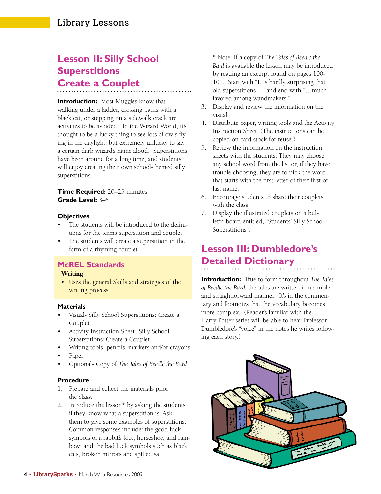## **Lesson II: Silly School Superstitions Create a Couplet**

**Introduction:** Most Muggles know that walking under a ladder, crossing paths with a black cat, or stepping on a sidewalk crack are activities to be avoided. In the Wizard World, it's thought to be a lucky thing to see lots of owls flying in the daylight, but extremely unlucky to say a certain dark wizard's name aloud. Superstitions have been around for a long time, and students will enjoy creating their own school-themed silly superstitions.

#### **Time Required:** 20–25 minutes **Grade Level:** 3–6

#### **Objectives**

- The students will be introduced to the definitions for the terms superstition and couplet
- The students will create a superstition in the form of a rhyming couplet

#### **McREL Standards**

#### Writing

 • Uses the general Skills and strategies of the writing process

#### **Materials**

- Visual- Silly School Superstitions: Create a Couplet
- Activity Instruction Sheet- Silly School Superstitions: Create a Couplet
- Writing tools- pencils, markers and/or crayons
- Paper
- Optional- Copy of *The Tales of Beedle the Bard*

#### **Procedure**

- 1. Prepare and collect the materials prior the class.
- 2. Introduce the lesson\* by asking the students if they know what a superstition is. Ask them to give some examples of superstitions. Common responses include: the good luck symbols of a rabbit's foot, horseshoe, and rainbow; and the bad luck symbols such as black cats, broken mirrors and spilled salt.

\* Note: If a copy of *The Tales of Beedle the Bard* is available the lesson may be introduced by reading an excerpt found on pages 100- 101. Start with "It is hardly surprising that old superstitions…" and end with "…much favored among wandmakers."

- 3. Display and review the information on the visual.
- 4. Distribute paper, writing tools and the Activity Instruction Sheet. (The instructions can be copied on card stock for reuse.)
- 5. Review the information on the instruction sheets with the students. They may choose any school word from the list or, if they have trouble choosing, they are to pick the word that starts with the first letter of their first or last name.
- 6. Encourage students to share their couplets with the class.
- 7. Display the illustrated couplets on a bulletin board entitled, "Students' Silly School Superstitions".

## **Lesson III: Dumbledore's Detailed Dictionary**

**Introduction:** True to form throughout *The Tales of Beedle the Bard,* the tales are written in a simple and straightforward manner. It's in the commentary and footnotes that the vocabulary becomes more complex. (Reader's familiar with the Harry Potter series will be able to hear Professor Dumbledore's "voice" in the notes he writes following each story.)

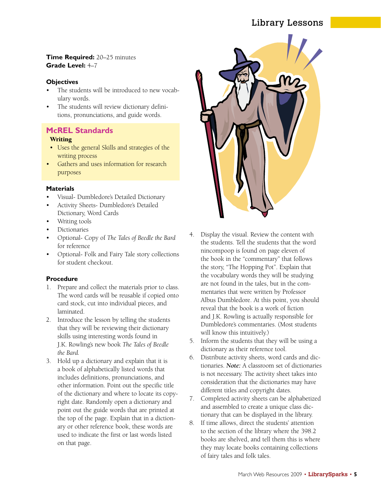### Library Lessons

#### **Time Required:** 20–25 minutes **Grade Level:** 4–7

#### **Objectives**

- The students will be introduced to new vocabulary words.
- The students will review dictionary definitions, pronunciations, and guide words.

### **McREL Standards**

#### Writing

- Uses the general Skills and strategies of the writing process
- Gathers and uses information for research purposes

#### **Materials**

- Visual- Dumbledore's Detailed Dictionary
- Activity Sheets- Dumbledore's Detailed Dictionary, Word Cards
- Writing tools
- Dictionaries
- Optional- Copy of *The Tales of Beedle the Bard* for reference
- Optional- Folk and Fairy Tale story collections for student checkout.

#### **Procedure**

- 1. Prepare and collect the materials prior to class. The word cards will be reusable if copied onto card stock, cut into individual pieces, and laminated.
- 2. Introduce the lesson by telling the students that they will be reviewing their dictionary skills using interesting words found in J.K. Rowling's new book *The Tales of Beedle the Bard.*
- 3. Hold up a dictionary and explain that it is a book of alphabetically listed words that includes definitions, pronunciations, and other information. Point out the specific title of the dictionary and where to locate its copyright date. Randomly open a dictionary and point out the guide words that are printed at the top of the page. Explain that in a dictionary or other reference book, these words are used to indicate the first or last words listed on that page.



- 4. Display the visual. Review the content with the students. Tell the students that the word nincompoop is found on page eleven of the book in the "commentary" that follows the story, "The Hopping Pot". Explain that the vocabulary words they will be studying are not found in the tales, but in the commentaries that were written by Professor Albus Dumbledore. At this point, you should reveal that the book is a work of fiction and J.K. Rowling is actually responsible for Dumbledore's commentaries. (Most students will know this intuitively.)
- 5. Inform the students that they will be using a dictionary as their reference tool.
- 6. Distribute activity sheets, word cards and dictionaries. *Note:* A classroom set of dictionaries is not necessary. The activity sheet takes into consideration that the dictionaries may have different titles and copyright dates.
- 7. Completed activity sheets can be alphabetized and assembled to create a unique class dictionary that can be displayed in the library.
- 8. If time allows, direct the students' attention to the section of the library where the 398.2 books are shelved, and tell them this is where they may locate books containing collections of fairy tales and folk tales.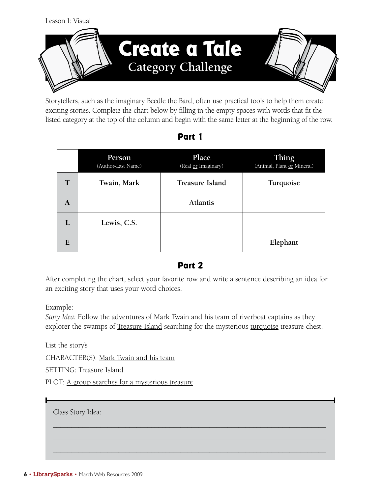

Storytellers, such as the imaginary Beedle the Bard, often use practical tools to help them create exciting stories. Complete the chart below by filling in the empty spaces with words that fit the listed category at the top of the column and begin with the same letter at the beginning of the row.

|                | Person<br>(Author-Last Name) | Place<br>(Real or Imaginary) | Thing<br>(Animal, Plant or Mineral) |
|----------------|------------------------------|------------------------------|-------------------------------------|
| $\mathbf T$    | Twain, Mark                  | Treasure Island              | Turquoise                           |
| A              |                              | <b>Atlantis</b>              |                                     |
| $\mathbf{I}$ . | Lewis, C.S.                  |                              |                                     |
| E              |                              |                              | Elephant                            |

### **Part 1**

### **Part 2**

After completing the chart, select your favorite row and write a sentence describing an idea for an exciting story that uses your word choices.

Example:

*Story Idea:* Follow the adventures of Mark Twain and his team of riverboat captains as they explorer the swamps of Treasure Island searching for the mysterious turquoise treasure chest.

\_\_\_\_\_\_\_\_\_\_\_\_\_\_\_\_\_\_\_\_\_\_\_\_\_\_\_\_\_\_\_\_\_\_\_\_\_\_\_\_\_\_\_\_\_\_\_\_\_\_\_\_\_\_\_\_\_\_\_\_\_\_\_\_\_\_\_\_\_\_\_\_\_\_\_

\_\_\_\_\_\_\_\_\_\_\_\_\_\_\_\_\_\_\_\_\_\_\_\_\_\_\_\_\_\_\_\_\_\_\_\_\_\_\_\_\_\_\_\_\_\_\_\_\_\_\_\_\_\_\_\_\_\_\_\_\_\_\_\_\_\_\_\_\_\_\_\_\_\_\_ \_\_\_\_\_\_\_\_\_\_\_\_\_\_\_\_\_\_\_\_\_\_\_\_\_\_\_\_\_\_\_\_\_\_\_\_\_\_\_\_\_\_\_\_\_\_\_\_\_\_\_\_\_\_\_\_\_\_\_\_\_\_\_\_\_\_\_\_\_\_\_\_\_\_\_

List the story's

CHARACTER(S): Mark Twain and his team

SETTING: Treasure Island

PLOT: A group searches for a mysterious treasure

Class Story Idea:

• **LibrarySparks** • March Web Resources 2009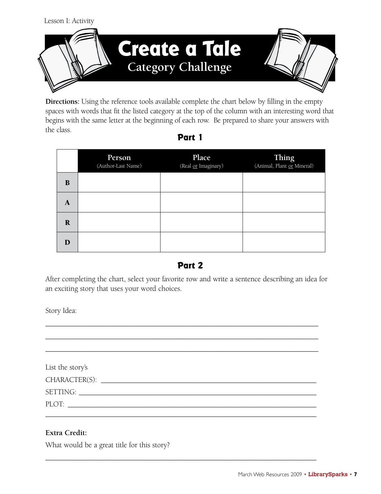

**Directions:** Using the reference tools available complete the chart below by filling in the empty spaces with words that fit the listed category at the top of the column with an interesting word that begins with the same letter at the beginning of each row. Be prepared to share your answers with the class. **Part 1**

|             | Person<br>(Author-Last Name) | Place<br>(Real or Imaginary) | Thing<br>(Animal, Plant or Mineral) |
|-------------|------------------------------|------------------------------|-------------------------------------|
| B           |                              |                              |                                     |
| A           |                              |                              |                                     |
| $\mathbf R$ |                              |                              |                                     |
| D           |                              |                              |                                     |

### **Part 2**

After completing the chart, select your favorite row and write a sentence describing an idea for an exciting story that uses your word choices.

Story Idea:

\_\_\_\_\_\_\_\_\_\_\_\_\_\_\_\_\_\_\_\_\_\_\_\_\_\_\_\_\_\_\_\_\_\_\_\_\_\_\_\_\_\_\_\_\_\_\_\_\_\_\_\_\_\_\_\_\_\_\_\_\_\_\_\_\_\_\_\_\_\_\_\_\_\_\_ \_\_\_\_\_\_\_\_\_\_\_\_\_\_\_\_\_\_\_\_\_\_\_\_\_\_\_\_\_\_\_\_\_\_\_\_\_\_\_\_\_\_\_\_\_\_\_\_\_\_\_\_\_\_\_\_\_\_\_\_\_\_\_\_\_\_\_\_\_\_\_\_\_\_\_ List the story's CHARACTER(S):  $\Box$ SETTING: \_\_\_\_\_\_\_\_\_\_\_\_\_\_\_\_\_\_\_\_\_\_\_\_\_\_\_\_\_\_\_\_\_\_\_\_\_\_\_\_\_\_\_\_\_\_\_\_\_\_\_\_\_\_\_\_\_\_\_\_\_\_\_\_ PLOT: \_\_\_\_\_\_\_\_\_\_\_\_\_\_\_\_\_\_\_\_\_\_\_\_\_\_\_\_\_\_\_\_\_\_\_\_\_\_\_\_\_\_\_\_\_\_\_\_\_\_\_\_\_\_\_\_\_\_\_\_\_\_\_\_\_\_\_  $\_$  , and the set of the set of the set of the set of the set of the set of the set of the set of the set of the set of the set of the set of the set of the set of the set of the set of the set of the set of the set of th

 $\_$  , and the set of the set of the set of the set of the set of the set of the set of the set of the set of the set of the set of the set of the set of the set of the set of the set of the set of the set of the set of th

\_\_\_\_\_\_\_\_\_\_\_\_\_\_\_\_\_\_\_\_\_\_\_\_\_\_\_\_\_\_\_\_\_\_\_\_\_\_\_\_\_\_\_\_\_\_\_\_\_\_\_\_\_\_\_\_\_\_\_\_\_\_\_\_\_\_\_\_\_\_\_\_\_\_\_

### **Extra Credit:**

What would be a great title for this story?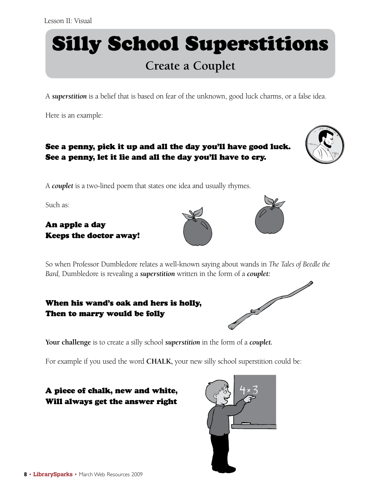# Silly School Superstitions

# **Create a Couplet**

A *superstition* is a belief that is based on fear of the unknown, good luck charms, or a false idea.

Here is an example:

### See a penny, pick it up and all the day you'll have good luck. See a penny, let it lie and all the day you'll have to cry.



A *couplet* is a two-lined poem that states one idea and usually rhymes.

Such as:

### An apple a day Keeps the doctor away!





So when Professor Dumbledore relates a well-known saying about wands in *The Tales of Beedle the* 

# *Bard,* Dumbledore is revealing a *superstition* written in the form of a *couplet:*<br> **When his wand's oak and hers is holly,**<br> **Then to marry would be follogied:** When his wand's oak and hers is holly, Then to marry would be folly



For example if you used the word **CHALK,** your new silly school superstition could be:

A piece of chalk, new and white, Will always get the answer right

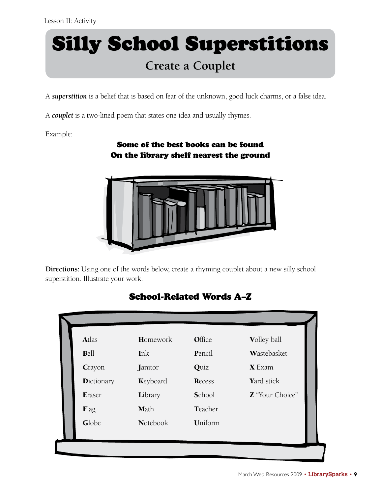# Silly School Superstitions **Create a Couplet**

A *superstition* is a belief that is based on fear of the unknown, good luck charms, or a false idea.

A *couplet* is a two-lined poem that states one idea and usually rhymes.

Example:

### Some of the best books can be found On the library shelf nearest the ground



**Directions:** Using one of the words below, create a rhyming couplet about a new silly school superstition. Illustrate your work.

# School-Related Words A–Z

| Atlas              | Homework        | Office  | Volley ball            |
|--------------------|-----------------|---------|------------------------|
| Bell               | Ink             | Pencil  | Wastebasket            |
| Crayon             | Janitor         | Quiz    | $X$ Exam               |
| <b>D</b> ictionary | Keyboard        | Recess  | Yard stick             |
| Eraser             | Library         | School  | <b>Z</b> "Your Choice" |
| Flag               | Math            | Teacher |                        |
| Globe              | <b>Notebook</b> | Uniform |                        |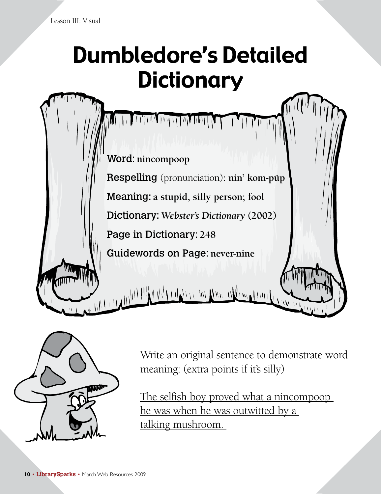# Dumbledore's Detailed **Dictionary**





Write an original sentence to demonstrate word meaning: (extra points if it's silly)

The selfish boy proved what a nincompoop he was when he was outwitted by a talking mushroom.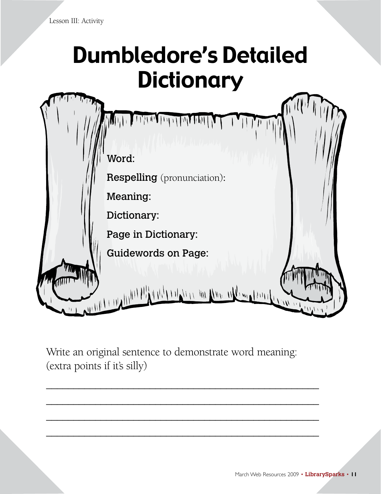# Dumbledore's Detailed **Dictionary**



Write an original sentence to demonstrate word meaning: (extra points if it's silly)

\_\_\_\_\_\_\_\_\_\_\_\_\_\_\_\_\_\_\_\_\_\_\_\_\_\_\_\_\_\_\_\_\_\_\_\_\_\_\_\_\_\_\_\_\_\_\_\_\_\_

\_\_\_\_\_\_\_\_\_\_\_\_\_\_\_\_\_\_\_\_\_\_\_\_\_\_\_\_\_\_\_\_\_\_\_\_\_\_\_\_\_\_\_\_\_\_\_\_\_\_

\_\_\_\_\_\_\_\_\_\_\_\_\_\_\_\_\_\_\_\_\_\_\_\_\_\_\_\_\_\_\_\_\_\_\_\_\_\_\_\_\_\_\_\_\_\_\_\_\_\_

\_\_\_\_\_\_\_\_\_\_\_\_\_\_\_\_\_\_\_\_\_\_\_\_\_\_\_\_\_\_\_\_\_\_\_\_\_\_\_\_\_\_\_\_\_\_\_\_\_\_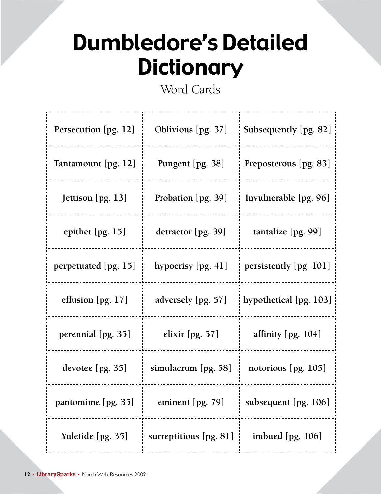# Dumbledore's Detailed **Dictionary**

Word Cards

| Persecution [pg. 12]                               | Oblivious [pg. 37]       | Subsequently [pg. 82]  |
|----------------------------------------------------|--------------------------|------------------------|
| Tantamount [pg. 12]<br>. _ _ _ _ _ _ _ _ _ _ _ _ _ | Pungent [pg. 38]         | Preposterous [pg. 83]  |
| Jettison [pg. 13]                                  | Probation [pg. 39]       | Invulnerable [pg. 96]  |
| epithet [pg. 15]                                   | detractor [pg. 39]       | tantalize $[pg. 99]$   |
| perpetuated [pg. 15]                               | hypocrisy [pg. 41]       | persistently [pg. 101] |
| effusion [pg. 17]                                  | adversely [pg. 57]       | hypothetical [pg. 103] |
| perennial [pg. 35]                                 | elixir $[pg. 57]$        | affinity [pg. 104]     |
| devotee [pg. 35]                                   | simulacrum [pg. 58]      | notorious [pg. 105]    |
| pantomime [pg. 35]                                 | eminent $[pg. 79]$       | subsequent [pg. 106]   |
| Yuletide [pg. 35]                                  | surreptitious $[pg. 81]$ | imbued $[pg. 106]$     |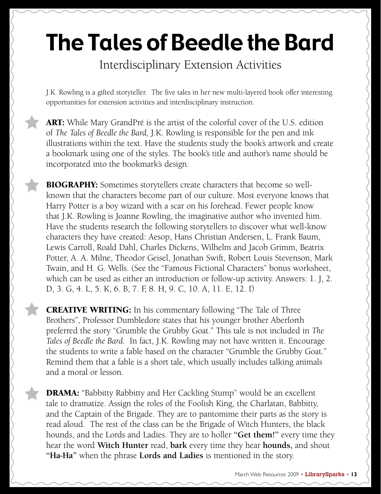# The Tales of Beedle the Bard

Interdisciplinary Extension Activities

J.K. Rowling is a gifted storyteller. The five tales in her new multi-layered book offer interesting opportunities for extension activities and interdisciplinary instruction.

**ART:** While Mary GrandPré is the artist of the colorful cover of the U.S. edition of *The Tales of Beedle the Bard,* J.K. Rowling is responsible for the pen and ink illustrations within the text. Have the students study the book's artwork and create a bookmark using one of the styles. The book's title and author's name should be incorporated into the bookmark's design.

**BIOGRAPHY:** Sometimes storytellers create characters that become so wellknown that the characters become part of our culture. Most everyone knows that Harry Potter is a boy wizard with a scar on his forehead. Fewer people know that J.K. Rowling is Joanne Rowling, the imaginative author who invented him. Have the students research the following storytellers to discover what well-know characters they have created: Aesop, Hans Christian Andersen, L. Frank Baum, Lewis Carroll, Roald Dahl, Charles Dickens, Wilhelm and Jacob Grimm, Beatrix Potter, A. A. Milne, Theodor Geisel, Jonathan Swift, Robert Louis Stevenson, Mark Twain, and H. G. Wells. (See the "Famous Fictional Characters" bonus worksheet, which can be used as either an introduction or follow-up activity. Answers: 1. J, 2. D, 3. G, 4. L, 5. K, 6. B, 7. F, 8. H, 9. C, 10. A, 11. E, 12. I)

**CREATIVE WRITING:** In his commentary following "The Tale of Three Brothers", Professor Dumbledore states that his younger brother Aberforth preferred the story "Grumble the Grubby Goat." This tale is not included in *The Tales of Beedle the Bard.* In fact, J.K. Rowling may not have written it. Encourage the students to write a fable based on the character "Grumble the Grubby Goat." Remind them that a fable is a short tale, which usually includes talking animals and a moral or lesson.

**DRAMA:** "Babbitty Rabbitty and Her Cackling Stump" would be an excellent tale to dramatize. Assign the roles of the Foolish King, the Charlatan, Babbitty, and the Captain of the Brigade. They are to pantomime their parts as the story is read aloud. The rest of the class can be the Brigade of Witch Hunters, the black hounds, and the Lords and Ladies. They are to holler **"Get them!"** every time they hear the word **Witch Hunter** read, **bark** every time they hear **hounds,** and shout **"Ha-Ha"** when the phrase **Lords and Ladies** is mentioned in the story.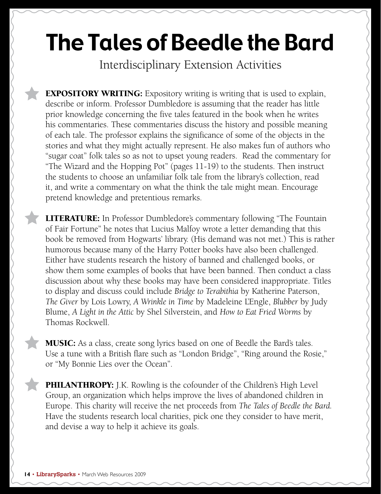# The Tales of Beedle the Bard

Interdisciplinary Extension Activities

**EXPOSITORY WRITING:** Expository writing is writing that is used to explain, describe or inform. Professor Dumbledore is assuming that the reader has little prior knowledge concerning the five tales featured in the book when he writes his commentaries. These commentaries discuss the history and possible meaning of each tale. The professor explains the significance of some of the objects in the stories and what they might actually represent. He also makes fun of authors who "sugar coat" folk tales so as not to upset young readers. Read the commentary for "The Wizard and the Hopping Pot" (pages 11-19) to the students. Then instruct the students to choose an unfamiliar folk tale from the library's collection, read it, and write a commentary on what the think the tale might mean. Encourage pretend knowledge and pretentious remarks.

**LITERATURE:** In Professor Dumbledore's commentary following "The Fountain of Fair Fortune" he notes that Lucius Malfoy wrote a letter demanding that this book be removed from Hogwarts' library. (His demand was not met.) This is rather humorous because many of the Harry Potter books have also been challenged. Either have students research the history of banned and challenged books, or show them some examples of books that have been banned. Then conduct a class discussion about why these books may have been considered inappropriate. Titles to display and discuss could include *Bridge to Terabithia* by Katherine Paterson, *The Giver* by Lois Lowry, *A Wrinkle in Time* by Madeleine L'Engle, *Blubber* by Judy Blume, *A Light in the Attic* by Shel Silverstein, and *How to Eat Fried Worms* by Thomas Rockwell.

**MUSIC:** As a class, create song lyrics based on one of Beedle the Bard's tales. Use a tune with a British flare such as "London Bridge", "Ring around the Rosie," or "My Bonnie Lies over the Ocean".

PHILANTHROPY: J.K. Rowling is the cofounder of the Children's High Level Group, an organization which helps improve the lives of abandoned children in Europe. This charity will receive the net proceeds from *The Tales of Beedle the Bard.*  Have the students research local charities, pick one they consider to have merit, and devise a way to help it achieve its goals.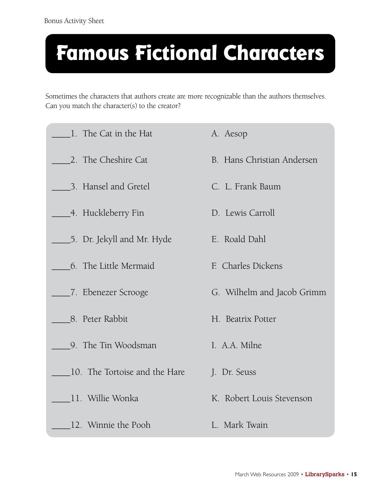# **Famous Fictional Characters**

Sometimes the characters that authors create are more recognizable than the authors themselves. Can you match the character(s) to the creator?

| 1. The Cat in the Hat         | A. Aesop                   |
|-------------------------------|----------------------------|
| 2. The Cheshire Cat           | B. Hans Christian Andersen |
| 3. Hansel and Gretel          | C. L. Frank Baum           |
| ____4. Huckleberry Fin        | D. Lewis Carroll           |
| __5. Dr. Jekyll and Mr. Hyde  | E. Roald Dahl              |
| 6. The Little Mermaid         | F. Charles Dickens         |
| ____7. Ebenezer Scrooge       | G. Wilhelm and Jacob Grimm |
| 8. Peter Rabbit               | H. Beatrix Potter          |
| 9. The Tin Woodsman           | I. A.A. Milne              |
| 10. The Tortoise and the Hare | J. Dr. Seuss               |
| 11. Willie Wonka              | K. Robert Louis Stevenson  |
| 12. Winnie the Pooh           | L. Mark Twain              |